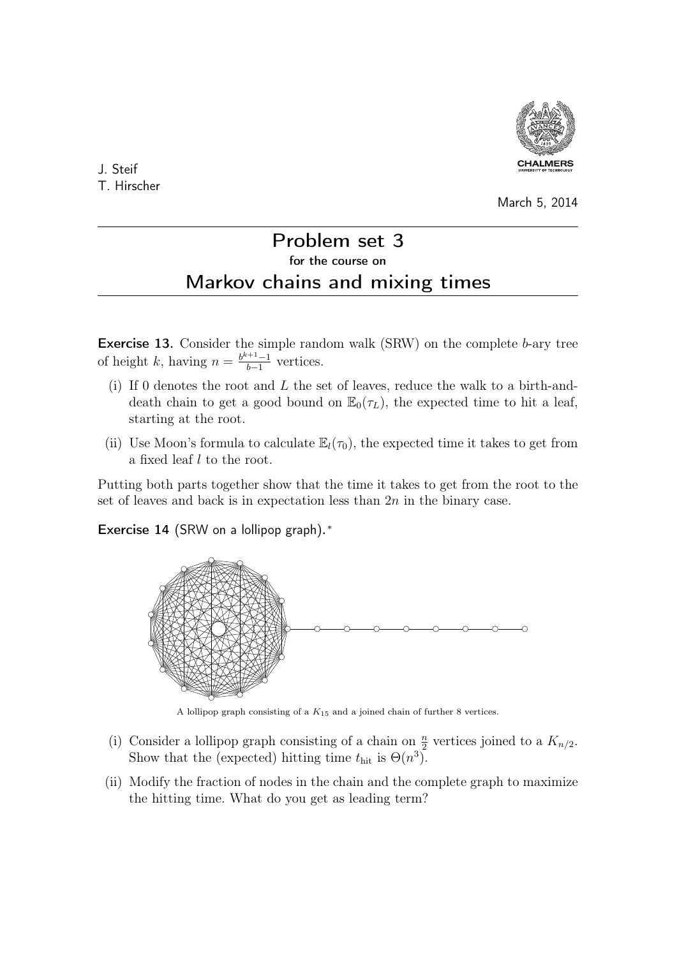

J. Steif T. Hirscher

## March 5, 2014

# Problem set 3 for the course on Markov chains and mixing times

Exercise 13. Consider the simple random walk (SRW) on the complete b-ary tree of height k, having  $n = \frac{b^{k+1}-1}{b-1}$  $\frac{b+1}{b-1}$  vertices.

- (i) If 0 denotes the root and L the set of leaves, reduce the walk to a birth-anddeath chain to get a good bound on  $\mathbb{E}_0(\tau_L)$ , the expected time to hit a leaf, starting at the root.
- (ii) Use Moon's formula to calculate  $\mathbb{E}_l(\tau_0)$ , the expected time it takes to get from a fixed leaf l to the root.

Putting both parts together show that the time it takes to get from the root to the set of leaves and back is in expectation less than  $2n$  in the binary case.

Exercise 14 (SRW on a lollipop graph).\*



A lollipop graph consisting of a  $K_{15}$  and a joined chain of further 8 vertices.

- (i) Consider a lollipop graph consisting of a chain on  $\frac{n}{2}$  vertices joined to a  $K_{n/2}$ . Show that the (expected) hitting time  $t_{\text{hit}}$  is  $\Theta(n^3)$ .
- (ii) Modify the fraction of nodes in the chain and the complete graph to maximize the hitting time. What do you get as leading term?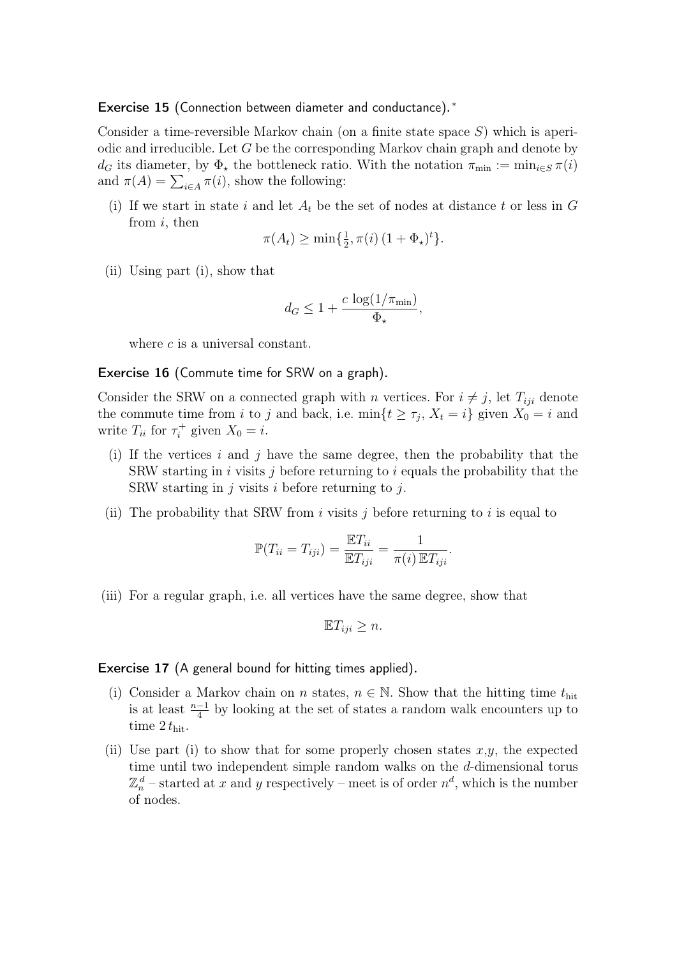## Exercise 15 (Connection between diameter and conductance).<sup>\*</sup>

Consider a time-reversible Markov chain (on a finite state space  $S$ ) which is aperiodic and irreducible. Let  $G$  be the corresponding Markov chain graph and denote by  $d_G$  its diameter, by  $\Phi_{\star}$  the bottleneck ratio. With the notation  $\pi_{\min} := \min_{i \in S} \pi(i)$ and  $\pi(A) = \sum_{i \in A} \pi(i)$ , show the following:

(i) If we start in state i and let  $A_t$  be the set of nodes at distance t or less in G from  $i$ , then

$$
\pi(A_t) \ge \min\{\tfrac{1}{2}, \pi(i) \left(1 + \Phi_\star\right)^t\}.
$$

(ii) Using part (i), show that

$$
d_G \le 1 + \frac{c \log(1/\pi_{\min})}{\Phi_{\star}},
$$

where c is a universal constant.

#### Exercise 16 (Commute time for SRW on a graph).

Consider the SRW on a connected graph with n vertices. For  $i \neq j$ , let  $T_{iji}$  denote the commute time from i to j and back, i.e.  $\min\{t \geq \tau_j, X_t = i\}$  given  $X_0 = i$  and write  $T_{ii}$  for  $\tau_i^+$  $i^+$  given  $X_0 = i$ .

- (i) If the vertices i and j have the same degree, then the probability that the SRW starting in i visits j before returning to i equals the probability that the SRW starting in  $j$  visits  $i$  before returning to  $j$ .
- (ii) The probability that SRW from i visits j before returning to i is equal to

$$
\mathbb{P}(T_{ii} = T_{iji}) = \frac{\mathbb{E}T_{ii}}{\mathbb{E}T_{iji}} = \frac{1}{\pi(i)\,\mathbb{E}T_{iji}}.
$$

(iii) For a regular graph, i.e. all vertices have the same degree, show that

$$
\mathbb{E}T_{iji}\geq n.
$$

### Exercise 17 (A general bound for hitting times applied).

- (i) Consider a Markov chain on n states,  $n \in \mathbb{N}$ . Show that the hitting time  $t_{\text{hit}}$ is at least  $\frac{n-1}{4}$  by looking at the set of states a random walk encounters up to time  $2 t_{\text{hit}}$ .
- (ii) Use part (i) to show that for some properly chosen states  $x,y$ , the expected time until two independent simple random walks on the d-dimensional torus  $\mathbb{Z}_n^d$  – started at x and y respectively – meet is of order  $n^d$ , which is the number of nodes.